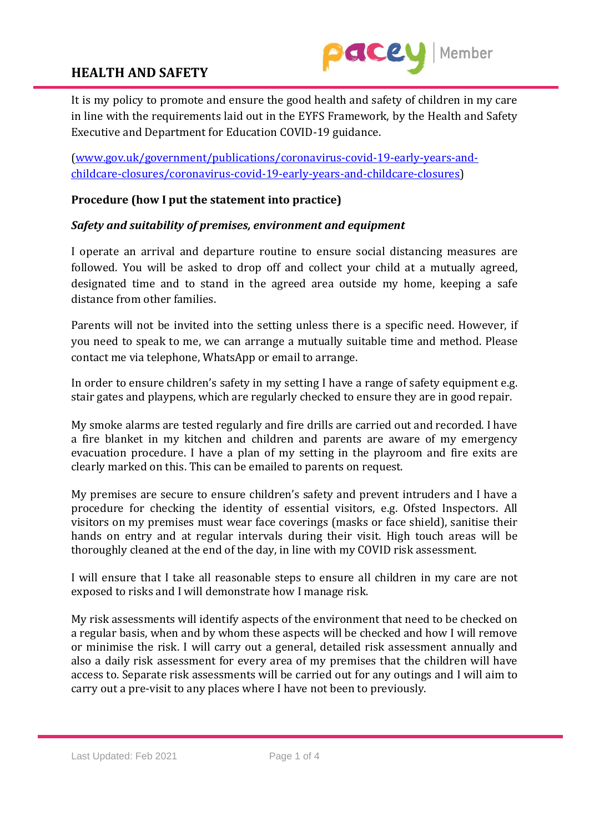

It is my policy to promote and ensure the good health and safety of children in my care in line with the requirements laid out in the EYFS Framework, by the Health and Safety Executive and Department for Education COVID-19 guidance.

[\(www.gov.uk/government/publications/coronavirus-covid-19-early-years-and](../../My%20PC%20(DESKTOP-THACCLL)/www.gov.uk/government/publications/coronavirus-covid-19-early-years-and-childcare-closures/coronavirus-covid-19-early-years-and-childcare-closures)[childcare-closures/coronavirus-covid-19-early-years-and-childcare-closures\)](../../My%20PC%20(DESKTOP-THACCLL)/www.gov.uk/government/publications/coronavirus-covid-19-early-years-and-childcare-closures/coronavirus-covid-19-early-years-and-childcare-closures)

#### **Procedure (how I put the statement into practice)**

#### *Safety and suitability of premises, environment and equipment*

I operate an arrival and departure routine to ensure social distancing measures are followed. You will be asked to drop off and collect your child at a mutually agreed, designated time and to stand in the agreed area outside my home, keeping a safe distance from other families.

Parents will not be invited into the setting unless there is a specific need. However, if you need to speak to me, we can arrange a mutually suitable time and method. Please contact me via telephone, WhatsApp or email to arrange.

In order to ensure children's safety in my setting I have a range of safety equipment e.g. stair gates and playpens, which are regularly checked to ensure they are in good repair.

My smoke alarms are tested regularly and fire drills are carried out and recorded. I have a fire blanket in my kitchen and children and parents are aware of my emergency evacuation procedure. I have a plan of my setting in the playroom and fire exits are clearly marked on this. This can be emailed to parents on request.

My premises are secure to ensure children's safety and prevent intruders and I have a procedure for checking the identity of essential visitors, e.g. Ofsted Inspectors. All visitors on my premises must wear face coverings (masks or face shield), sanitise their hands on entry and at regular intervals during their visit. High touch areas will be thoroughly cleaned at the end of the day, in line with my COVID risk assessment.

I will ensure that I take all reasonable steps to ensure all children in my care are not exposed to risks and I will demonstrate how I manage risk.

My risk assessments will identify aspects of the environment that need to be checked on a regular basis, when and by whom these aspects will be checked and how I will remove or minimise the risk. I will carry out a general, detailed risk assessment annually and also a daily risk assessment for every area of my premises that the children will have access to. Separate risk assessments will be carried out for any outings and I will aim to carry out a pre-visit to any places where I have not been to previously.

Last Updated: Feb 2021 Page 1 of 4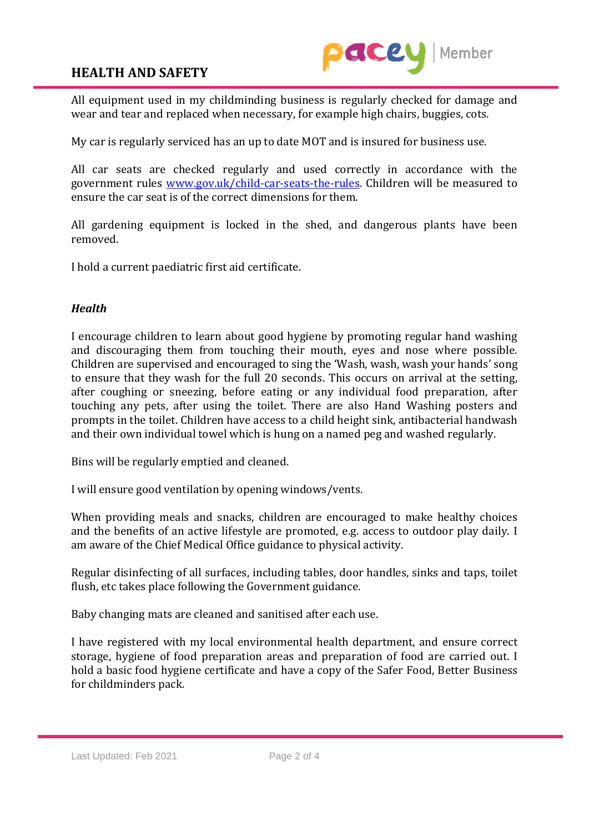

All equipment used in my childminding business is regularly checked for damage and wear and tear and replaced when necessary, for example high chairs, buggies, cots.

My car is regularly serviced has an up to date MOT and is insured for business use.

All car seats are checked regularly and used correctly in accordance with the government rules [www.gov.uk/child-car-seats-the-rules.](../../My%20PC%20(DESKTOP-THACCLL)/www.gov.uk/child-car-seats-the-rules) Children will be measured to ensure the car seat is of the correct dimensions for them.

All gardening equipment is locked in the shed, and dangerous plants have been removed.

I hold a current paediatric first aid certificate.

#### *Health*

I encourage children to learn about good hygiene by promoting regular hand washing and discouraging them from touching their mouth, eyes and nose where possible. Children are supervised and encouraged to sing the 'Wash, wash, wash your hands' song to ensure that they wash for the full 20 seconds. This occurs on arrival at the setting, after coughing or sneezing, before eating or any individual food preparation, after touching any pets, after using the toilet. There are also Hand Washing posters and prompts in the toilet. Children have access to a child height sink, antibacterial handwash and their own individual towel which is hung on a named peg and washed regularly.

Bins will be regularly emptied and cleaned.

I will ensure good ventilation by opening windows/vents.

When providing meals and snacks, children are encouraged to make healthy choices and the benefits of an active lifestyle are promoted, e.g. access to outdoor play daily. I am aware of the Chief Medical Office guidance to physical activity.

Regular disinfecting of all surfaces, including tables, door handles, sinks and taps, toilet flush, etc takes place following the Government guidance.

Baby changing mats are cleaned and sanitised after each use.

I have registered with my local environmental health department, and ensure correct storage, hygiene of food preparation areas and preparation of food are carried out. I hold a basic food hygiene certificate and have a copy of the Safer Food, Better Business for childminders pack.

Last Updated: Feb 2021 Page 2 of 4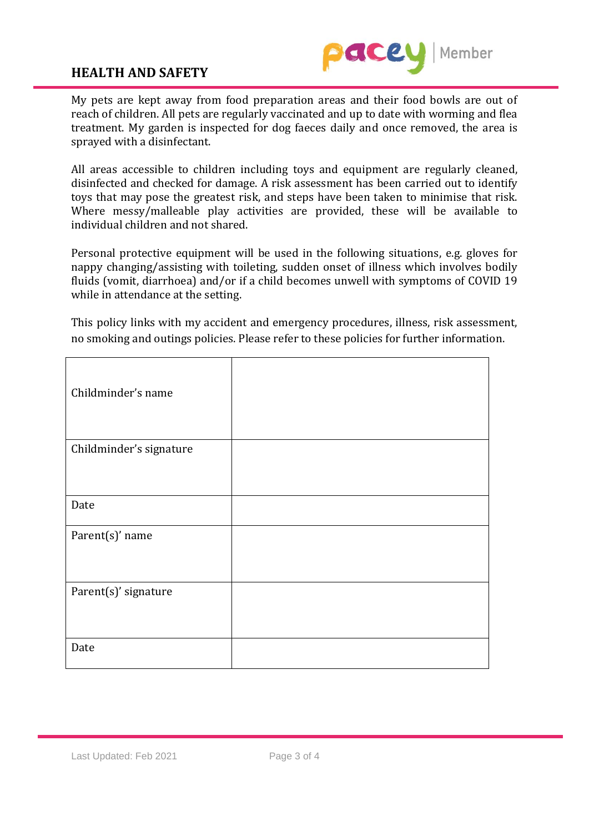

My pets are kept away from food preparation areas and their food bowls are out of reach of children. All pets are regularly vaccinated and up to date with worming and flea treatment. My garden is inspected for dog faeces daily and once removed, the area is sprayed with a disinfectant.

All areas accessible to children including toys and equipment are regularly cleaned, disinfected and checked for damage. A risk assessment has been carried out to identify toys that may pose the greatest risk, and steps have been taken to minimise that risk. Where messy/malleable play activities are provided, these will be available to individual children and not shared.

Personal protective equipment will be used in the following situations, e.g. gloves for nappy changing/assisting with toileting, sudden onset of illness which involves bodily fluids (vomit, diarrhoea) and/or if a child becomes unwell with symptoms of COVID 19 while in attendance at the setting.

This policy links with my accident and emergency procedures, illness, risk assessment, no smoking and outings policies. Please refer to these policies for further information.

| Childminder's name      |  |
|-------------------------|--|
| Childminder's signature |  |
| Date                    |  |
| Parent(s)' name         |  |
| Parent(s)' signature    |  |
| Date                    |  |